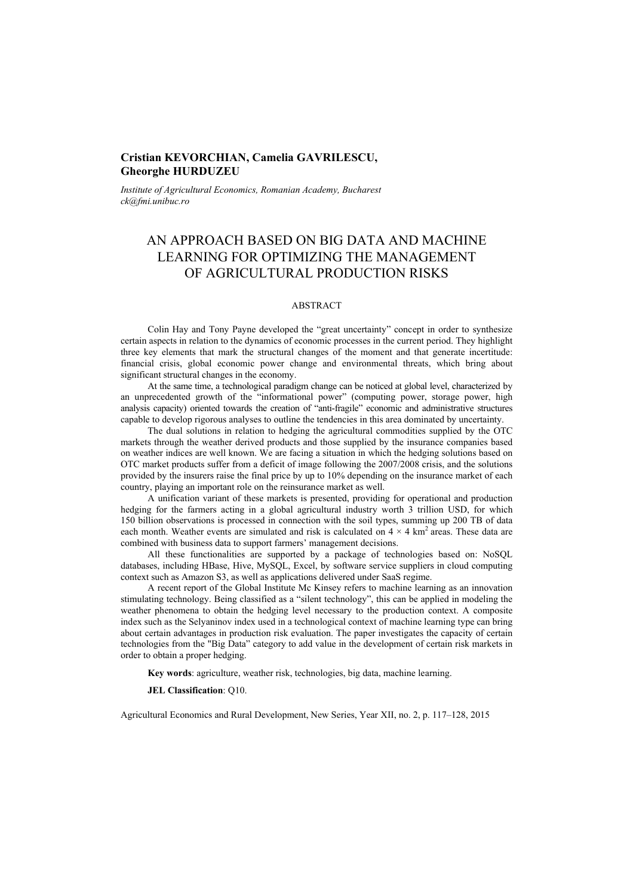# **Cristian KEVORCHIAN, Camelia GAVRILESCU, Gheorghe HURDUZEU**

*Institute of Agricultural Economics, Romanian Academy, Bucharest ck@fmi.unibuc.ro* 

# AN APPROACH BASED ON BIG DATA AND MACHINE LEARNING FOR OPTIMIZING THE MANAGEMENT OF AGRICULTURAL PRODUCTION RISKS

#### ABSTRACT

Colin Hay and Tony Payne developed the "great uncertainty" concept in order to synthesize certain aspects in relation to the dynamics of economic processes in the current period. They highlight three key elements that mark the structural changes of the moment and that generate incertitude: financial crisis, global economic power change and environmental threats, which bring about significant structural changes in the economy.

At the same time, a technological paradigm change can be noticed at global level, characterized by an unprecedented growth of the "informational power" (computing power, storage power, high analysis capacity) oriented towards the creation of "anti-fragile" economic and administrative structures capable to develop rigorous analyses to outline the tendencies in this area dominated by uncertainty.

The dual solutions in relation to hedging the agricultural commodities supplied by the OTC markets through the weather derived products and those supplied by the insurance companies based on weather indices are well known. We are facing a situation in which the hedging solutions based on OTC market products suffer from a deficit of image following the 2007/2008 crisis, and the solutions provided by the insurers raise the final price by up to 10% depending on the insurance market of each country, playing an important role on the reinsurance market as well.

A unification variant of these markets is presented, providing for operational and production hedging for the farmers acting in a global agricultural industry worth 3 trillion USD, for which 150 billion observations is processed in connection with the soil types, summing up 200 TB of data each month. Weather events are simulated and risk is calculated on  $4 \times 4$  km<sup>2</sup> areas. These data are combined with business data to support farmers' management decisions.

All these functionalities are supported by a package of technologies based on: NoSQL databases, including HBase, Hive, MySQL, Excel, by software service suppliers in cloud computing context such as Amazon S3, as well as applications delivered under SaaS regime.

A recent report of the Global Institute Mc Kinsey refers to machine learning as an innovation stimulating technology. Being classified as a "silent technology", this can be applied in modeling the weather phenomena to obtain the hedging level necessary to the production context. A composite index such as the Selyaninov index used in a technological context of machine learning type can bring about certain advantages in production risk evaluation. The paper investigates the capacity of certain technologies from the "Big Data" category to add value in the development of certain risk markets in order to obtain a proper hedging.

**Key words**: agriculture, weather risk, technologies, big data, machine learning.

**JEL Classification**: Q10.

Agricultural Economics and Rural Development, New Series, Year XII, no. 2, p. 117–128, 2015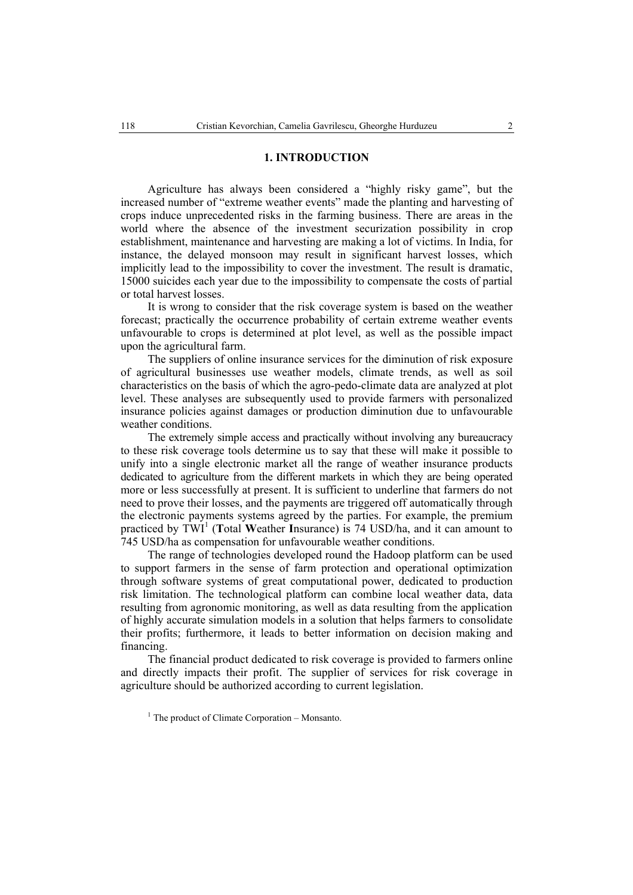#### **1. INTRODUCTION**

Agriculture has always been considered a "highly risky game", but the increased number of "extreme weather events" made the planting and harvesting of crops induce unprecedented risks in the farming business. There are areas in the world where the absence of the investment securization possibility in crop establishment, maintenance and harvesting are making a lot of victims. In India, for instance, the delayed monsoon may result in significant harvest losses, which implicitly lead to the impossibility to cover the investment. The result is dramatic, 15000 suicides each year due to the impossibility to compensate the costs of partial or total harvest losses.

It is wrong to consider that the risk coverage system is based on the weather forecast; practically the occurrence probability of certain extreme weather events unfavourable to crops is determined at plot level, as well as the possible impact upon the agricultural farm.

The suppliers of online insurance services for the diminution of risk exposure of agricultural businesses use weather models, climate trends, as well as soil characteristics on the basis of which the agro-pedo-climate data are analyzed at plot level. These analyses are subsequently used to provide farmers with personalized insurance policies against damages or production diminution due to unfavourable weather conditions.

The extremely simple access and practically without involving any bureaucracy to these risk coverage tools determine us to say that these will make it possible to unify into a single electronic market all the range of weather insurance products dedicated to agriculture from the different markets in which they are being operated more or less successfully at present. It is sufficient to underline that farmers do not need to prove their losses, and the payments are triggered off automatically through the electronic payments systems agreed by the parties. For example, the premium practiced by TWI<sup>1</sup> (Total Weather Insurance) is 74 USD/ha, and it can amount to 745 USD/ha as compensation for unfavourable weather conditions.

The range of technologies developed round the Hadoop platform can be used to support farmers in the sense of farm protection and operational optimization through software systems of great computational power, dedicated to production risk limitation. The technological platform can combine local weather data, data resulting from agronomic monitoring, as well as data resulting from the application of highly accurate simulation models in a solution that helps farmers to consolidate their profits; furthermore, it leads to better information on decision making and financing.

The financial product dedicated to risk coverage is provided to farmers online and directly impacts their profit. The supplier of services for risk coverage in agriculture should be authorized according to current legislation.

 $<sup>1</sup>$  The product of Climate Corporation – Monsanto.</sup>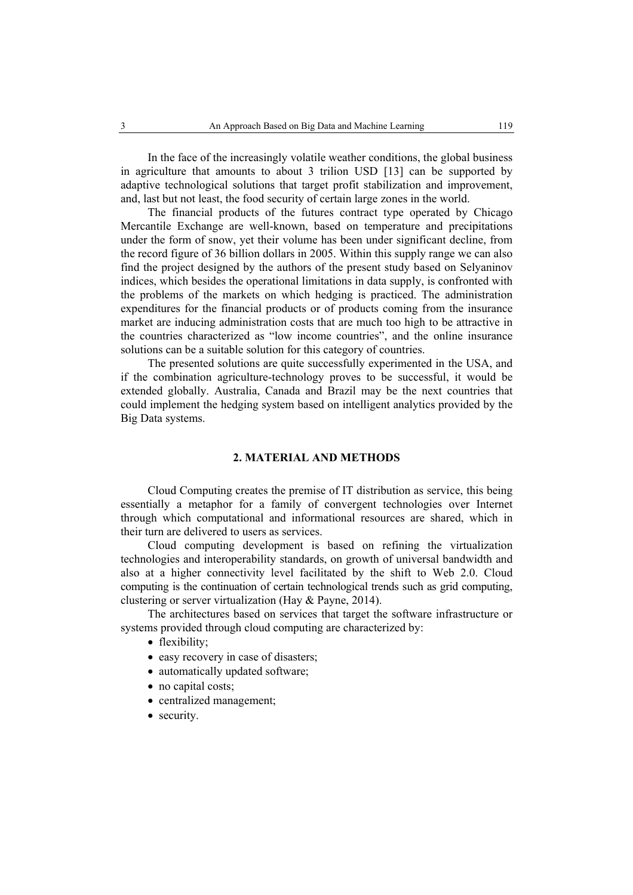In the face of the increasingly volatile weather conditions, the global business in agriculture that amounts to about 3 trilion USD [13] can be supported by adaptive technological solutions that target profit stabilization and improvement, and, last but not least, the food security of certain large zones in the world.

The financial products of the futures contract type operated by Chicago Mercantile Exchange are well-known, based on temperature and precipitations under the form of snow, yet their volume has been under significant decline, from the record figure of 36 billion dollars in 2005. Within this supply range we can also find the project designed by the authors of the present study based on Selyaninov indices, which besides the operational limitations in data supply, is confronted with the problems of the markets on which hedging is practiced. The administration expenditures for the financial products or of products coming from the insurance market are inducing administration costs that are much too high to be attractive in the countries characterized as "low income countries", and the online insurance solutions can be a suitable solution for this category of countries.

The presented solutions are quite successfully experimented in the USA, and if the combination agriculture-technology proves to be successful, it would be extended globally. Australia, Canada and Brazil may be the next countries that could implement the hedging system based on intelligent analytics provided by the Big Data systems.

### **2. MATERIAL AND METHODS**

Cloud Computing creates the premise of IT distribution as service, this being essentially a metaphor for a family of convergent technologies over Internet through which computational and informational resources are shared, which in their turn are delivered to users as services.

Cloud computing development is based on refining the virtualization technologies and interoperability standards, on growth of universal bandwidth and also at a higher connectivity level facilitated by the shift to Web 2.0. Cloud computing is the continuation of certain technological trends such as grid computing, clustering or server virtualization (Hay & Payne, 2014).

The architectures based on services that target the software infrastructure or systems provided through cloud computing are characterized by:

- flexibility;
- easy recovery in case of disasters;
- automatically updated software:
- no capital costs;
- centralized management;
- security.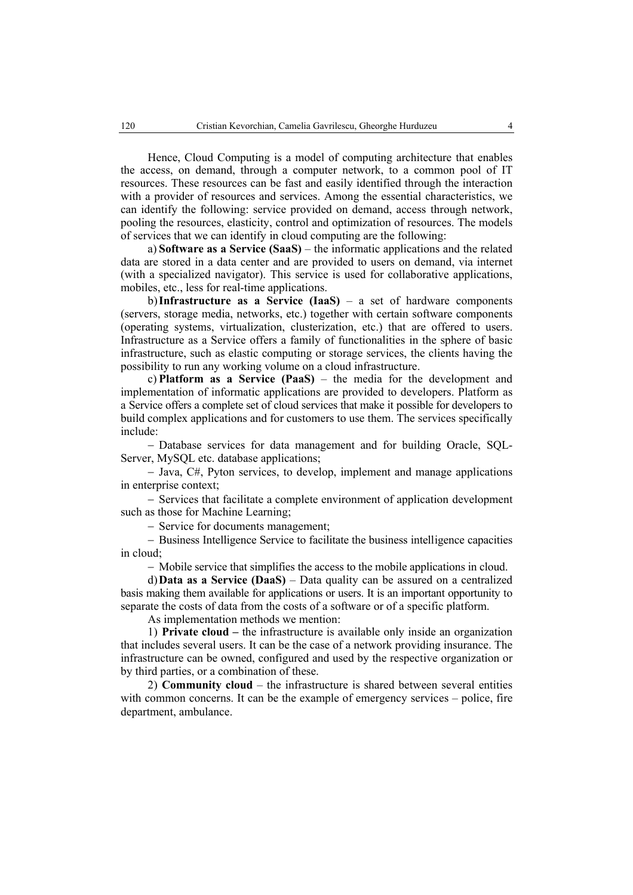Hence, Cloud Computing is a model of computing architecture that enables the access, on demand, through a computer network, to a common pool of IT resources. These resources can be fast and easily identified through the interaction with a provider of resources and services. Among the essential characteristics, we can identify the following: service provided on demand, access through network, pooling the resources, elasticity, control and optimization of resources. The models of services that we can identify in cloud computing are the following:

a) **Software as a Service (SaaS)** – the informatic applications and the related data are stored in a data center and are provided to users on demand, via internet (with a specialized navigator). This service is used for collaborative applications, mobiles, etc., less for real-time applications.

b)**Infrastructure as a Service (IaaS)** – a set of hardware components (servers, storage media, networks, etc.) together with certain software components (operating systems, virtualization, clusterization, etc.) that are offered to users. Infrastructure as a Service offers a family of functionalities in the sphere of basic infrastructure, such as elastic computing or storage services, the clients having the possibility to run any working volume on a cloud infrastructure.

c) **Platform as a Service (PaaS)** – the media for the development and implementation of informatic applications are provided to developers. Platform as a Service offers a complete set of cloud services that make it possible for developers to build complex applications and for customers to use them. The services specifically include:

− Database services for data management and for building Oracle, SQL-Server, MySQL etc. database applications;

− Java, C#, Pyton services, to develop, implement and manage applications in enterprise context;

− Services that facilitate a complete environment of application development such as those for Machine Learning;

− Service for documents management;

− Business Intelligence Service to facilitate the business intelligence capacities in cloud;

− Mobile service that simplifies the access to the mobile applications in cloud.

d)**Data as a Service (DaaS)** – Data quality can be assured on a centralized basis making them available for applications or users. It is an important opportunity to separate the costs of data from the costs of a software or of a specific platform.

As implementation methods we mention:

1) **Private cloud –** the infrastructure is available only inside an organization that includes several users. It can be the case of a network providing insurance. The infrastructure can be owned, configured and used by the respective organization or by third parties, or a combination of these.

2) **Community cloud** – the infrastructure is shared between several entities with common concerns. It can be the example of emergency services – police, fire department, ambulance.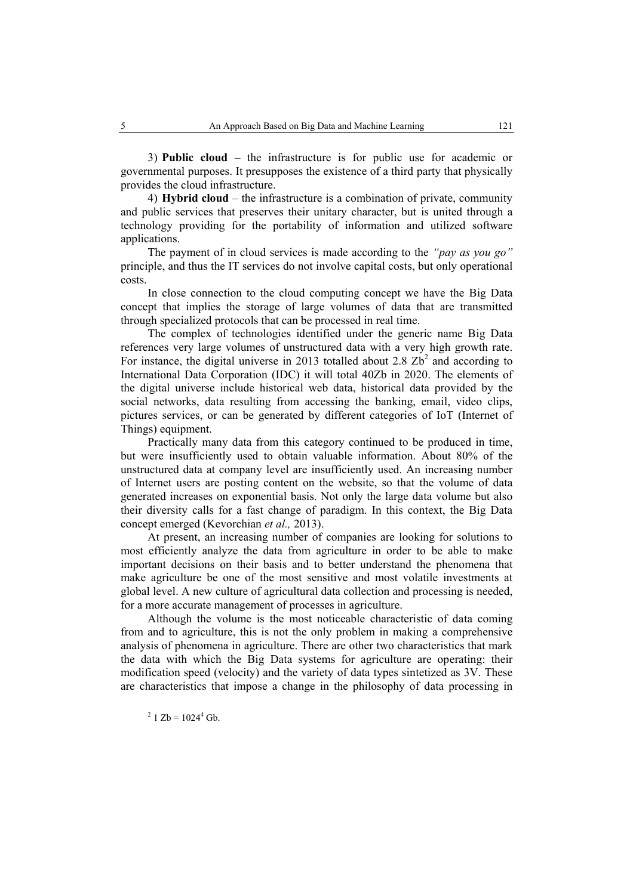3) **Public cloud** – the infrastructure is for public use for academic or governmental purposes. It presupposes the existence of a third party that physically provides the cloud infrastructure.

4) **Hybrid cloud** – the infrastructure is a combination of private, community and public services that preserves their unitary character, but is united through a technology providing for the portability of information and utilized software applications.

The payment of in cloud services is made according to the *"pay as you go"*  principle, and thus the IT services do not involve capital costs, but only operational costs.

In close connection to the cloud computing concept we have the Big Data concept that implies the storage of large volumes of data that are transmitted through specialized protocols that can be processed in real time.

The complex of technologies identified under the generic name Big Data references very large volumes of unstructured data with a very high growth rate. For instance, the digital universe in 2013 totalled about 2.8  $Zb^2$  and according to International Data Corporation (IDC) it will total 40Zb in 2020. The elements of the digital universe include historical web data, historical data provided by the social networks, data resulting from accessing the banking, email, video clips, pictures services, or can be generated by different categories of IoT (Internet of Things) equipment.

Practically many data from this category continued to be produced in time, but were insufficiently used to obtain valuable information. About 80% of the unstructured data at company level are insufficiently used. An increasing number of Internet users are posting content on the website, so that the volume of data generated increases on exponential basis. Not only the large data volume but also their diversity calls for a fast change of paradigm. In this context, the Big Data concept emerged (Kevorchian *et al.,* 2013).

At present, an increasing number of companies are looking for solutions to most efficiently analyze the data from agriculture in order to be able to make important decisions on their basis and to better understand the phenomena that make agriculture be one of the most sensitive and most volatile investments at global level. A new culture of agricultural data collection and processing is needed, for a more accurate management of processes in agriculture.

Although the volume is the most noticeable characteristic of data coming from and to agriculture, this is not the only problem in making a comprehensive analysis of phenomena in agriculture. There are other two characteristics that mark the data with which the Big Data systems for agriculture are operating: their modification speed (velocity) and the variety of data types sintetized as 3V. These are characteristics that impose a change in the philosophy of data processing in

 $^{2}$  1 Zb = 1024<sup>4</sup> Gb.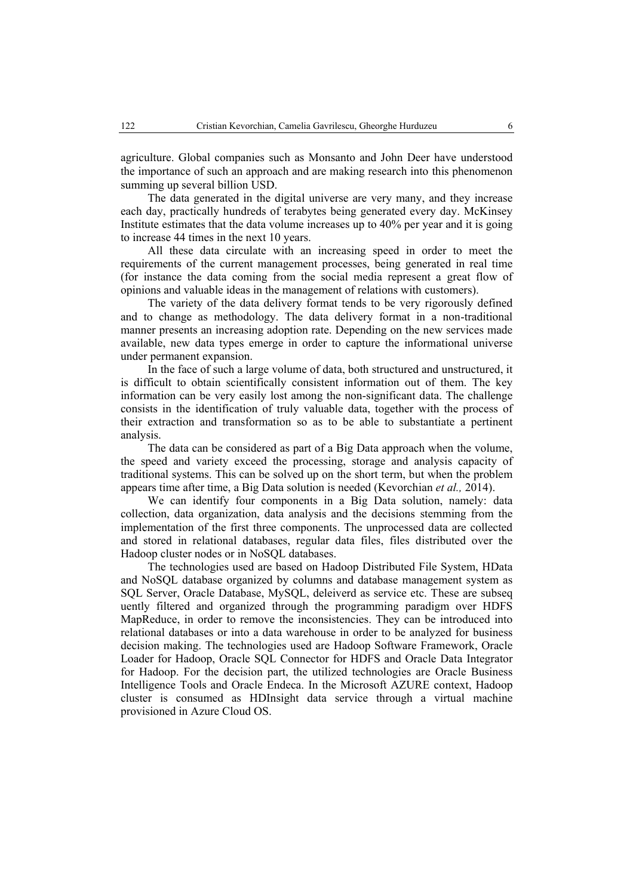agriculture. Global companies such as Monsanto and John Deer have understood the importance of such an approach and are making research into this phenomenon summing up several billion USD.

The data generated in the digital universe are very many, and they increase each day, practically hundreds of terabytes being generated every day. McKinsey Institute estimates that the data volume increases up to 40% per year and it is going to increase 44 times in the next 10 years.

All these data circulate with an increasing speed in order to meet the requirements of the current management processes, being generated in real time (for instance the data coming from the social media represent a great flow of opinions and valuable ideas in the management of relations with customers).

The variety of the data delivery format tends to be very rigorously defined and to change as methodology. The data delivery format in a non-traditional manner presents an increasing adoption rate. Depending on the new services made available, new data types emerge in order to capture the informational universe under permanent expansion.

In the face of such a large volume of data, both structured and unstructured, it is difficult to obtain scientifically consistent information out of them. The key information can be very easily lost among the non-significant data. The challenge consists in the identification of truly valuable data, together with the process of their extraction and transformation so as to be able to substantiate a pertinent analysis.

The data can be considered as part of a Big Data approach when the volume, the speed and variety exceed the processing, storage and analysis capacity of traditional systems. This can be solved up on the short term, but when the problem appears time after time, a Big Data solution is needed (Kevorchian *et al.,* 2014).

We can identify four components in a Big Data solution, namely: data collection, data organization, data analysis and the decisions stemming from the implementation of the first three components. The unprocessed data are collected and stored in relational databases, regular data files, files distributed over the Hadoop cluster nodes or in NoSQL databases.

The technologies used are based on Hadoop Distributed File System, HData and NoSQL database organized by columns and database management system as SQL Server, Oracle Database, MySQL, deleiverd as service etc. These are subseq uently filtered and organized through the programming paradigm over HDFS MapReduce, in order to remove the inconsistencies. They can be introduced into relational databases or into a data warehouse in order to be analyzed for business decision making. The technologies used are Hadoop Software Framework, Oracle Loader for Hadoop, Oracle SQL Connector for HDFS and Oracle Data Integrator for Hadoop. For the decision part, the utilized technologies are Oracle Business Intelligence Tools and Oracle Endeca. In the Microsoft AZURE context, Hadoop cluster is consumed as HDInsight data service through a virtual machine provisioned in Azure Cloud OS.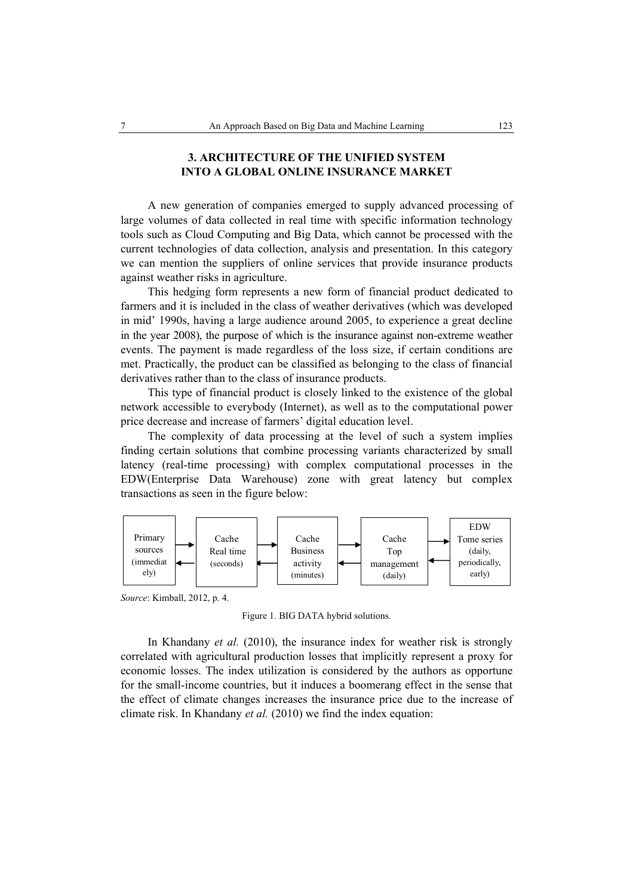# **3. ARCHITECTURE OF THE UNIFIED SYSTEM INTO A GLOBAL ONLINE INSURANCE MARKET**

A new generation of companies emerged to supply advanced processing of large volumes of data collected in real time with specific information technology tools such as Cloud Computing and Big Data, which cannot be processed with the current technologies of data collection, analysis and presentation. In this category we can mention the suppliers of online services that provide insurance products against weather risks in agriculture.

This hedging form represents a new form of financial product dedicated to farmers and it is included in the class of weather derivatives (which was developed in mid' 1990s, having a large audience around 2005, to experience a great decline in the year 2008), the purpose of which is the insurance against non-extreme weather events. The payment is made regardless of the loss size, if certain conditions are met. Practically, the product can be classified as belonging to the class of financial derivatives rather than to the class of insurance products.

This type of financial product is closely linked to the existence of the global network accessible to everybody (Internet), as well as to the computational power price decrease and increase of farmers' digital education level.

The complexity of data processing at the level of such a system implies finding certain solutions that combine processing variants characterized by small latency (real-time processing) with complex computational processes in the EDW(Enterprise Data Warehouse) zone with great latency but complex transactions as seen in the figure below:



*Source*: Kimball, 2012, p. 4.

Figure 1. BIG DATA hybrid solutions.

In Khandany *et al.* (2010), the insurance index for weather risk is strongly correlated with agricultural production losses that implicitly represent a proxy for economic losses. The index utilization is considered by the authors as opportune for the small-income countries, but it induces a boomerang effect in the sense that the effect of climate changes increases the insurance price due to the increase of climate risk. In Khandany *et al.* (2010) we find the index equation: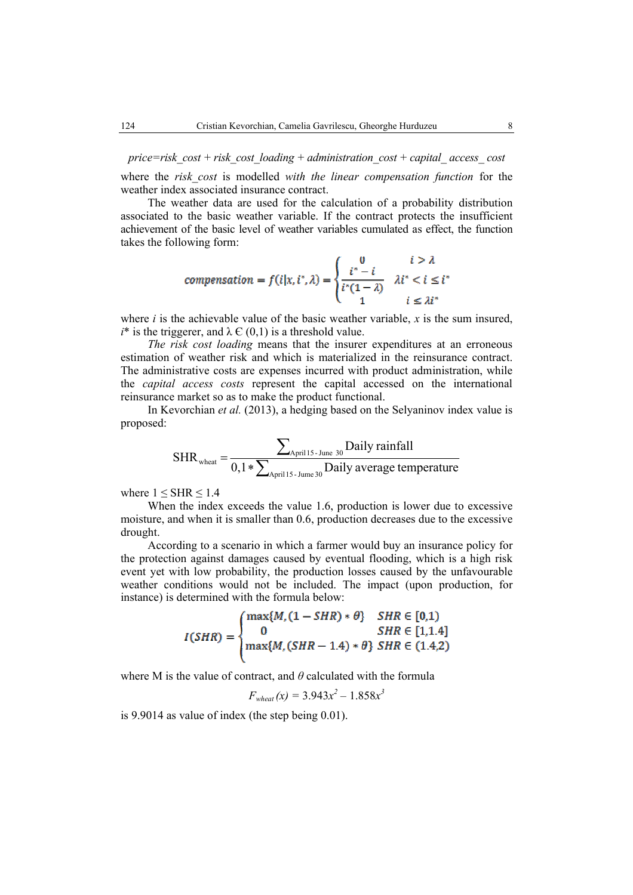where the *risk* cost is modelled *with the linear compensation function* for the weather index associated insurance contract.

The weather data are used for the calculation of a probability distribution associated to the basic weather variable. If the contract protects the insufficient achievement of the basic level of weather variables cumulated as effect, the function takes the following form:

$$
compression = f(i|x, i^*, \lambda) = \begin{cases} 0 & i > \lambda \\ \frac{i^* - i}{i^*(1 - \lambda)} & \lambda i^* < i \le i^* \\ 1 & i \le \lambda i^* \end{cases}
$$

where  $i$  is the achievable value of the basic weather variable,  $x$  is the sum insured,  $i^*$  is the triggerer, and  $\lambda \in (0,1)$  is a threshold value.

*The risk cost loading* means that the insurer expenditures at an erroneous estimation of weather risk and which is materialized in the reinsurance contract. The administrative costs are expenses incurred with product administration, while the *capital access costs* represent the capital accessed on the international reinsurance market so as to make the product functional.

In Kevorchian *et al.* (2013), a hedging based on the Selyaninov index value is proposed:

$$
SHR_{\text{wheat}} = \frac{\sum_{\text{April 15-June 30}} \text{Daily rainfall}}{0.1 * \sum_{\text{April 15-Jume 30}} \text{Daily average temperature}}
$$

where  $1 \leq$  SHR  $\leq$  1.4

When the index exceeds the value 1.6, production is lower due to excessive moisture, and when it is smaller than 0.6, production decreases due to the excessive drought.

According to a scenario in which a farmer would buy an insurance policy for the protection against damages caused by eventual flooding, which is a high risk event yet with low probability, the production losses caused by the unfavourable weather conditions would not be included. The impact (upon production, for instance) is determined with the formula below:

$$
I(SHR) = \begin{cases} \max\{M, (1 - SHR) * \theta\} & SHR \in [0,1) \\ 0 & SHR \in [1,1.4] \\ \max\{M, (SHR - 1.4) * \theta\} & SHR \in (1.4,2) \end{cases}
$$

where M is the value of contract, and *θ* calculated with the formula

$$
F_{\text{wheat}}(x) = 3.943x^2 - 1.858x^3
$$

is 9.9014 as value of index (the step being 0.01).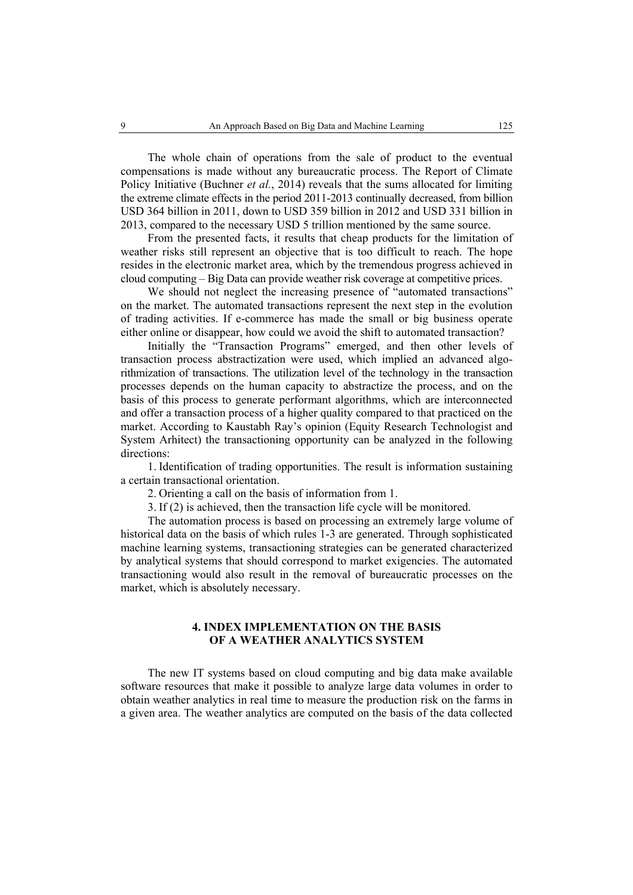The whole chain of operations from the sale of product to the eventual compensations is made without any bureaucratic process. The Report of Climate Policy Initiative (Buchner *et al.*, 2014) reveals that the sums allocated for limiting the extreme climate effects in the period 2011-2013 continually decreased, from billion USD 364 billion in 2011, down to USD 359 billion in 2012 and USD 331 billion in 2013, compared to the necessary USD 5 trillion mentioned by the same source.

From the presented facts, it results that cheap products for the limitation of weather risks still represent an objective that is too difficult to reach. The hope resides in the electronic market area, which by the tremendous progress achieved in cloud computing – Big Data can provide weather risk coverage at competitive prices.

We should not neglect the increasing presence of "automated transactions" on the market. The automated transactions represent the next step in the evolution of trading activities. If e-commerce has made the small or big business operate either online or disappear, how could we avoid the shift to automated transaction?

Initially the "Transaction Programs" emerged, and then other levels of transaction process abstractization were used, which implied an advanced algorithmization of transactions. The utilization level of the technology in the transaction processes depends on the human capacity to abstractize the process, and on the basis of this process to generate performant algorithms, which are interconnected and offer a transaction process of a higher quality compared to that practiced on the market. According to Kaustabh Ray's opinion (Equity Research Technologist and System Arhitect) the transactioning opportunity can be analyzed in the following directions:

1. Identification of trading opportunities. The result is information sustaining a certain transactional orientation.

2. Orienting a call on the basis of information from 1.

3. If (2) is achieved, then the transaction life cycle will be monitored.

The automation process is based on processing an extremely large volume of historical data on the basis of which rules 1-3 are generated. Through sophisticated machine learning systems, transactioning strategies can be generated characterized by analytical systems that should correspond to market exigencies. The automated transactioning would also result in the removal of bureaucratic processes on the market, which is absolutely necessary.

# **4. INDEX IMPLEMENTATION ON THE BASIS OF A WEATHER ANALYTICS SYSTEM**

The new IT systems based on cloud computing and big data make available software resources that make it possible to analyze large data volumes in order to obtain weather analytics in real time to measure the production risk on the farms in a given area. The weather analytics are computed on the basis of the data collected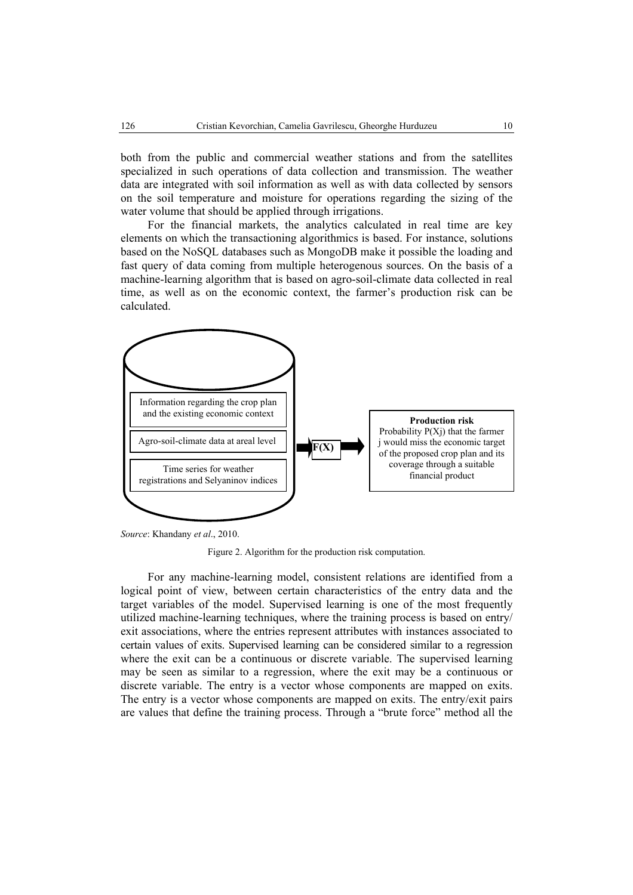both from the public and commercial weather stations and from the satellites specialized in such operations of data collection and transmission. The weather data are integrated with soil information as well as with data collected by sensors on the soil temperature and moisture for operations regarding the sizing of the water volume that should be applied through irrigations.

For the financial markets, the analytics calculated in real time are key elements on which the transactioning algorithmics is based. For instance, solutions based on the NoSQL databases such as MongoDB make it possible the loading and fast query of data coming from multiple heterogenous sources. On the basis of a machine-learning algorithm that is based on agro-soil-climate data collected in real time, as well as on the economic context, the farmer's production risk can be calculated.



*Source*: Khandany *et al*., 2010.

Figure 2. Algorithm for the production risk computation.

For any machine-learning model, consistent relations are identified from a logical point of view, between certain characteristics of the entry data and the target variables of the model. Supervised learning is one of the most frequently utilized machine-learning techniques, where the training process is based on entry/ exit associations, where the entries represent attributes with instances associated to certain values of exits. Supervised learning can be considered similar to a regression where the exit can be a continuous or discrete variable. The supervised learning may be seen as similar to a regression, where the exit may be a continuous or discrete variable. The entry is a vector whose components are mapped on exits. The entry is a vector whose components are mapped on exits. The entry/exit pairs are values that define the training process. Through a "brute force" method all the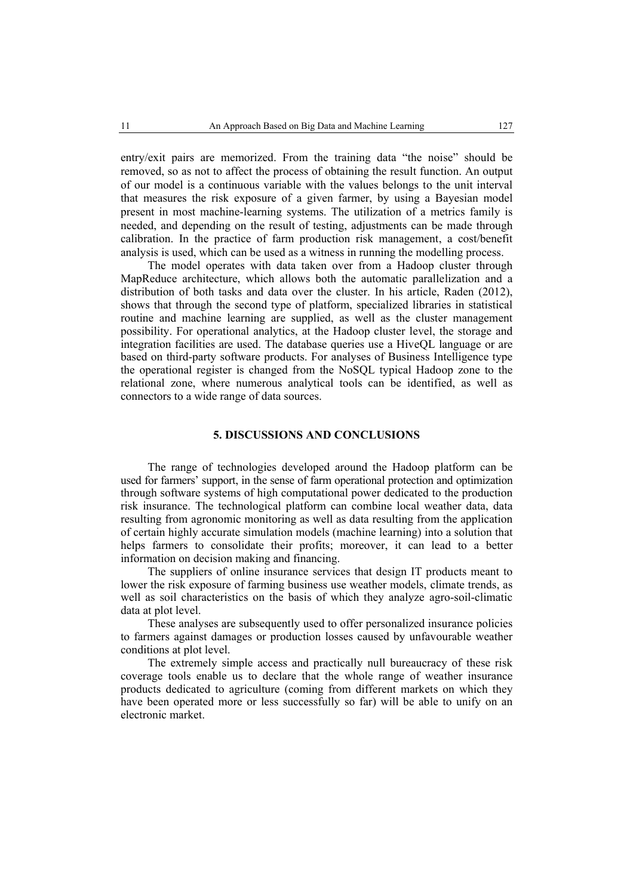entry/exit pairs are memorized. From the training data "the noise" should be removed, so as not to affect the process of obtaining the result function. An output of our model is a continuous variable with the values belongs to the unit interval that measures the risk exposure of a given farmer, by using a Bayesian model present in most machine-learning systems. The utilization of a metrics family is needed, and depending on the result of testing, adjustments can be made through calibration. In the practice of farm production risk management, a cost/benefit analysis is used, which can be used as a witness in running the modelling process.

The model operates with data taken over from a Hadoop cluster through MapReduce architecture, which allows both the automatic parallelization and a distribution of both tasks and data over the cluster. In his article, Raden (2012), shows that through the second type of platform, specialized libraries in statistical routine and machine learning are supplied, as well as the cluster management possibility. For operational analytics, at the Hadoop cluster level, the storage and integration facilities are used. The database queries use a HiveQL language or are based on third-party software products. For analyses of Business Intelligence type the operational register is changed from the NoSQL typical Hadoop zone to the relational zone, where numerous analytical tools can be identified, as well as connectors to a wide range of data sources.

#### **5. DISCUSSIONS AND CONCLUSIONS**

The range of technologies developed around the Hadoop platform can be used for farmers' support, in the sense of farm operational protection and optimization through software systems of high computational power dedicated to the production risk insurance. The technological platform can combine local weather data, data resulting from agronomic monitoring as well as data resulting from the application of certain highly accurate simulation models (machine learning) into a solution that helps farmers to consolidate their profits; moreover, it can lead to a better information on decision making and financing.

The suppliers of online insurance services that design IT products meant to lower the risk exposure of farming business use weather models, climate trends, as well as soil characteristics on the basis of which they analyze agro-soil-climatic data at plot level.

These analyses are subsequently used to offer personalized insurance policies to farmers against damages or production losses caused by unfavourable weather conditions at plot level.

The extremely simple access and practically null bureaucracy of these risk coverage tools enable us to declare that the whole range of weather insurance products dedicated to agriculture (coming from different markets on which they have been operated more or less successfully so far) will be able to unify on an electronic market.